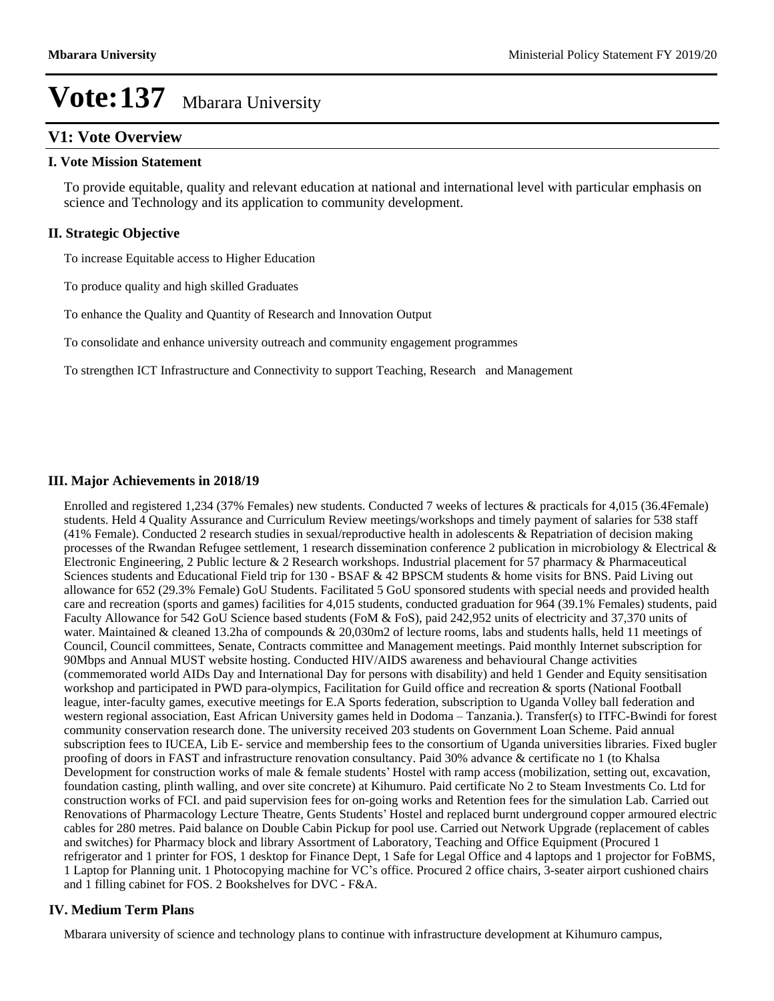### **V1: Vote Overview**

#### **I. Vote Mission Statement**

To provide equitable, quality and relevant education at national and international level with particular emphasis on science and Technology and its application to community development.

#### **II. Strategic Objective**

To increase Equitable access to Higher Education

To produce quality and high skilled Graduates

To enhance the Quality and Quantity of Research and Innovation Output

To consolidate and enhance university outreach and community engagement programmes

To strengthen ICT Infrastructure and Connectivity to support Teaching, Research and Management

#### **III. Major Achievements in 2018/19**

Enrolled and registered 1,234 (37% Females) new students. Conducted 7 weeks of lectures & practicals for 4,015 (36.4Female) students. Held 4 Quality Assurance and Curriculum Review meetings/workshops and timely payment of salaries for 538 staff (41% Female). Conducted 2 research studies in sexual/reproductive health in adolescents & Repatriation of decision making processes of the Rwandan Refugee settlement, 1 research dissemination conference 2 publication in microbiology & Electrical & Electronic Engineering, 2 Public lecture & 2 Research workshops. Industrial placement for 57 pharmacy & Pharmaceutical Sciences students and Educational Field trip for 130 - BSAF & 42 BPSCM students & home visits for BNS. Paid Living out allowance for 652 (29.3% Female) GoU Students. Facilitated 5 GoU sponsored students with special needs and provided health care and recreation (sports and games) facilities for 4,015 students, conducted graduation for 964 (39.1% Females) students, paid Faculty Allowance for 542 GoU Science based students (FoM & FoS), paid 242,952 units of electricity and 37,370 units of water. Maintained & cleaned 13.2ha of compounds & 20,030m2 of lecture rooms, labs and students halls, held 11 meetings of Council, Council committees, Senate, Contracts committee and Management meetings. Paid monthly Internet subscription for 90Mbps and Annual MUST website hosting. Conducted HIV/AIDS awareness and behavioural Change activities (commemorated world AIDs Day and International Day for persons with disability) and held 1 Gender and Equity sensitisation workshop and participated in PWD para-olympics, Facilitation for Guild office and recreation & sports (National Football league, inter-faculty games, executive meetings for E.A Sports federation, subscription to Uganda Volley ball federation and western regional association, East African University games held in Dodoma - Tanzania.). Transfer(s) to ITFC-Bwindi for forest community conservation research done. The university received 203 students on Government Loan Scheme. Paid annual subscription fees to IUCEA, Lib E- service and membership fees to the consortium of Uganda universities libraries. Fixed bugler proofing of doors in FAST and infrastructure renovation consultancy. Paid 30% advance & certificate no 1 (to Khalsa Development for construction works of male  $&$  female students' Hostel with ramp access (mobilization, setting out, excavation, foundation casting, plinth walling, and over site concrete) at Kihumuro. Paid certificate No 2 to Steam Investments Co. Ltd for construction works of FCI. and paid supervision fees for on-going works and Retention fees for the simulation Lab. Carried out Renovations of Pharmacology Lecture Theatre, Gents Students' Hostel and replaced burnt underground copper armoured electric cables for 280 metres. Paid balance on Double Cabin Pickup for pool use. Carried out Network Upgrade (replacement of cables and switches) for Pharmacy block and library Assortment of Laboratory, Teaching and Office Equipment (Procured 1 refrigerator and 1 printer for FOS, 1 desktop for Finance Dept, 1 Safe for Legal Office and 4 laptops and 1 projector for FoBMS, 1 Laptop for Planning unit. 1 Photocopying machine for VC's office. Procured 2 office chairs, 3-seater airport cushioned chairs and 1 filling cabinet for FOS. 2 Bookshelves for DVC - F&A.

#### **IV. Medium Term Plans**

Mbarara university of science and technology plans to continue with infrastructure development at Kihumuro campus,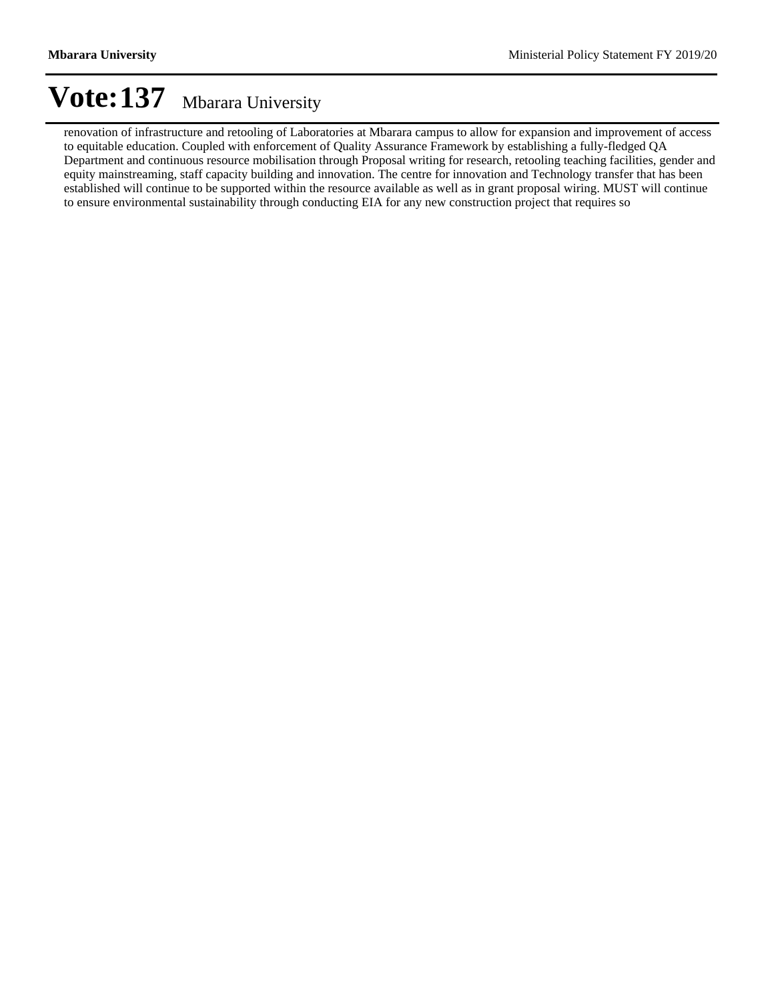renovation of infrastructure and retooling of Laboratories at Mbarara campus to allow for expansion and improvement of access to equitable education. Coupled with enforcement of Quality Assurance Framework by establishing a fully-fledged QA Department and continuous resource mobilisation through Proposal writing for research, retooling teaching facilities, gender and equity mainstreaming, staff capacity building and innovation. The centre for innovation and Technology transfer that has been established will continue to be supported within the resource available as well as in grant proposal wiring. MUST will continue to ensure environmental sustainability through conducting EIA for any new construction project that requires so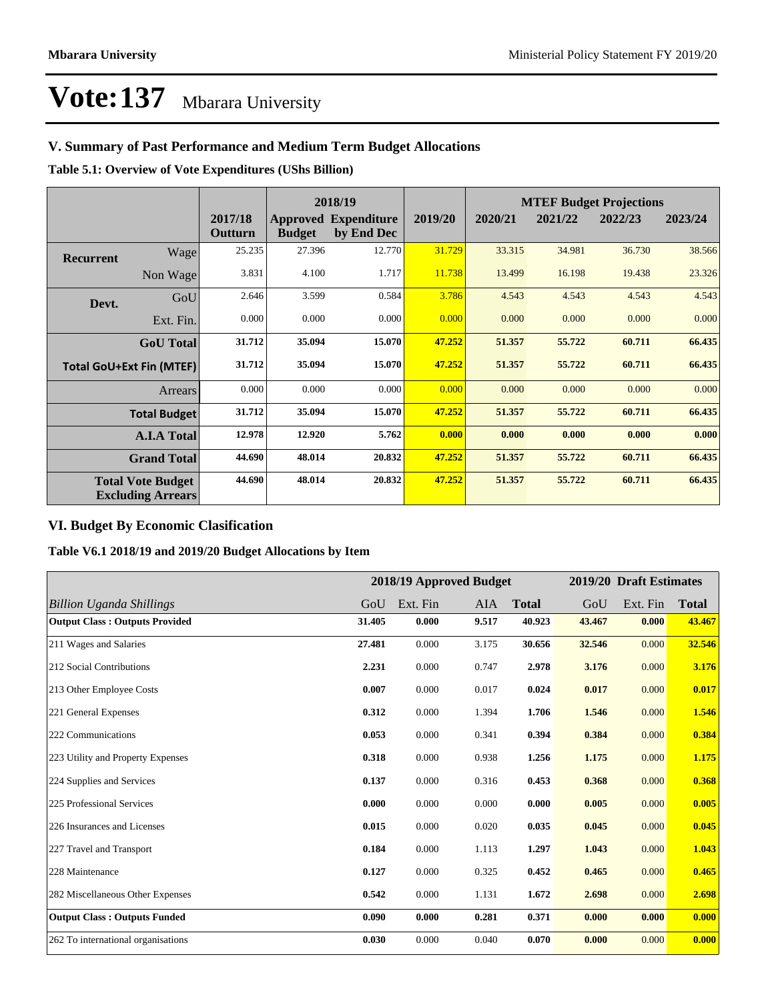### **V. Summary of Past Performance and Medium Term Budget Allocations**

**Table 5.1: Overview of Vote Expenditures (UShs Billion)**

|                                 |                                                      |                    | 2018/19       |                                           |         |         | <b>MTEF Budget Projections</b> |         |         |
|---------------------------------|------------------------------------------------------|--------------------|---------------|-------------------------------------------|---------|---------|--------------------------------|---------|---------|
|                                 |                                                      | 2017/18<br>Outturn | <b>Budget</b> | <b>Approved Expenditure</b><br>by End Dec | 2019/20 | 2020/21 | 2021/22                        | 2022/23 | 2023/24 |
| <b>Recurrent</b>                | Wage                                                 | 25.235             | 27.396        | 12.770                                    | 31.729  | 33.315  | 34.981                         | 36.730  | 38.566  |
|                                 | Non Wage                                             | 3.831              | 4.100         | 1.717                                     | 11.738  | 13.499  | 16.198                         | 19.438  | 23.326  |
| Devt.                           | GoU                                                  | 2.646              | 3.599         | 0.584                                     | 3.786   | 4.543   | 4.543                          | 4.543   | 4.543   |
|                                 | Ext. Fin.                                            | 0.000              | 0.000         | 0.000                                     | 0.000   | 0.000   | 0.000                          | 0.000   | 0.000   |
|                                 | <b>GoU</b> Total                                     | 31.712             | 35.094        | 15.070                                    | 47.252  | 51.357  | 55,722                         | 60.711  | 66.435  |
| <b>Total GoU+Ext Fin (MTEF)</b> |                                                      | 31.712             | 35.094        | 15.070                                    | 47.252  | 51.357  | 55.722                         | 60.711  | 66.435  |
|                                 | Arrears                                              | 0.000              | 0.000         | 0.000                                     | 0.000   | 0.000   | 0.000                          | 0.000   | 0.000   |
|                                 | <b>Total Budget</b>                                  | 31.712             | 35.094        | 15.070                                    | 47.252  | 51.357  | 55.722                         | 60.711  | 66.435  |
|                                 | <b>A.I.A Total</b>                                   | 12.978             | 12.920        | 5.762                                     | 0.000   | 0.000   | 0.000                          | 0.000   | 0.000   |
|                                 | <b>Grand Total</b>                                   | 44.690             | 48.014        | 20.832                                    | 47.252  | 51.357  | 55.722                         | 60.711  | 66.435  |
|                                 | <b>Total Vote Budget</b><br><b>Excluding Arrears</b> | 44.690             | 48.014        | 20.832                                    | 47.252  | 51.357  | 55,722                         | 60.711  | 66.435  |

### **VI. Budget By Economic Clasification**

**Table V6.1 2018/19 and 2019/20 Budget Allocations by Item**

|                                       |        |          | 2018/19 Approved Budget |              |        | 2019/20 Draft Estimates |              |
|---------------------------------------|--------|----------|-------------------------|--------------|--------|-------------------------|--------------|
| <b>Billion Uganda Shillings</b>       | GoU    | Ext. Fin | AIA                     | <b>Total</b> | GoU    | Ext. Fin                | <b>Total</b> |
| <b>Output Class: Outputs Provided</b> | 31.405 | 0.000    | 9.517                   | 40.923       | 43.467 | 0.000                   | 43.467       |
| 211 Wages and Salaries                | 27.481 | 0.000    | 3.175                   | 30.656       | 32.546 | 0.000                   | 32.546       |
| 212 Social Contributions              | 2.231  | 0.000    | 0.747                   | 2.978        | 3.176  | 0.000                   | 3.176        |
| 213 Other Employee Costs              | 0.007  | 0.000    | 0.017                   | 0.024        | 0.017  | 0.000                   | 0.017        |
| 221 General Expenses                  | 0.312  | 0.000    | 1.394                   | 1.706        | 1.546  | 0.000                   | 1.546        |
| 222 Communications                    | 0.053  | 0.000    | 0.341                   | 0.394        | 0.384  | 0.000                   | 0.384        |
| 223 Utility and Property Expenses     | 0.318  | 0.000    | 0.938                   | 1.256        | 1.175  | 0.000                   | 1.175        |
| 224 Supplies and Services             | 0.137  | 0.000    | 0.316                   | 0.453        | 0.368  | 0.000                   | 0.368        |
| 225 Professional Services             | 0.000  | 0.000    | 0.000                   | 0.000        | 0.005  | 0.000                   | 0.005        |
| 226 Insurances and Licenses           | 0.015  | 0.000    | 0.020                   | 0.035        | 0.045  | 0.000                   | 0.045        |
| 227 Travel and Transport              | 0.184  | 0.000    | 1.113                   | 1.297        | 1.043  | 0.000                   | 1.043        |
| 228 Maintenance                       | 0.127  | 0.000    | 0.325                   | 0.452        | 0.465  | 0.000                   | 0.465        |
| 282 Miscellaneous Other Expenses      | 0.542  | 0.000    | 1.131                   | 1.672        | 2.698  | 0.000                   | 2.698        |
| <b>Output Class: Outputs Funded</b>   | 0.090  | 0.000    | 0.281                   | 0.371        | 0.000  | 0.000                   | 0.000        |
| 262 To international organisations    | 0.030  | 0.000    | 0.040                   | 0.070        | 0.000  | 0.000                   | 0.000        |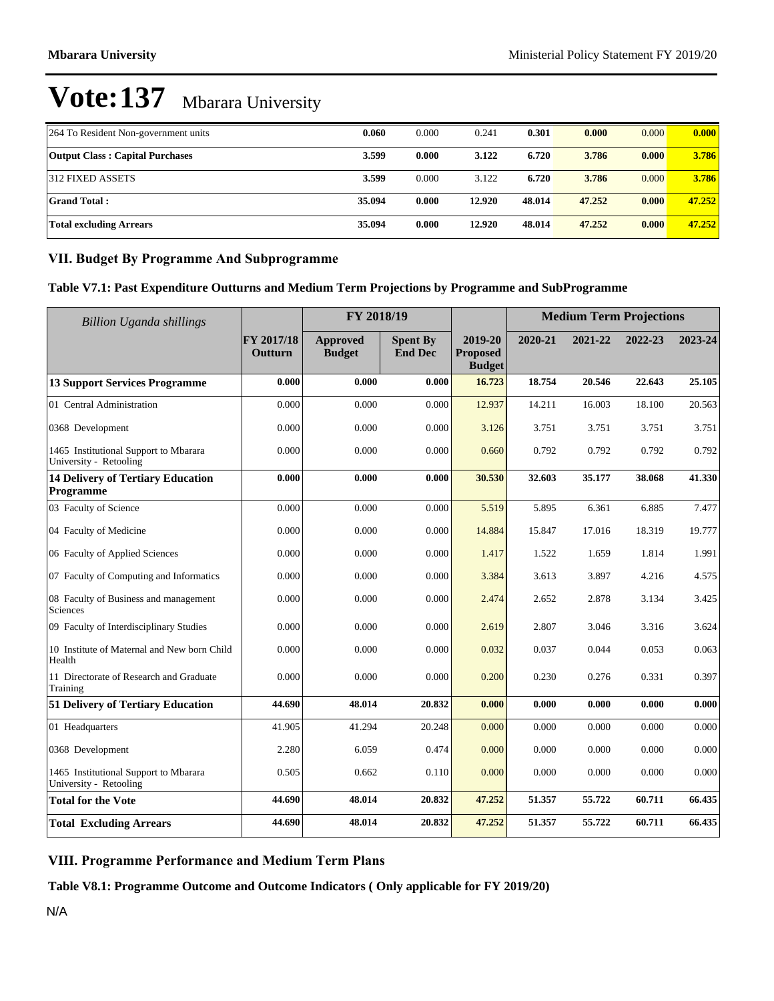| 264 To Resident Non-government units   | 0.060  | 0.000 | 0.241  | 0.301  | 0.000  | 0.000 | 0.000  |
|----------------------------------------|--------|-------|--------|--------|--------|-------|--------|
|                                        |        |       |        |        |        |       |        |
| <b>Output Class: Capital Purchases</b> | 3.599  | 0.000 | 3.122  | 6.720  | 3.786  | 0.000 | 3.786  |
|                                        |        |       |        |        |        |       |        |
| 312 FIXED ASSETS                       | 3.599  | 0.000 | 3.122  | 6.720  | 3.786  | 0.000 | 3.786  |
|                                        |        |       |        |        |        |       |        |
| <b>Grand Total:</b>                    | 35.094 | 0.000 | 12.920 | 48.014 | 47.252 | 0.000 | 47.252 |
|                                        |        |       |        |        |        |       |        |
| Total excluding Arrears                | 35.094 | 0.000 | 12.920 | 48.014 | 47.252 | 0.000 | 47.252 |
|                                        |        |       |        |        |        |       |        |

#### **VII. Budget By Programme And Subprogramme**

#### **Table V7.1: Past Expenditure Outturns and Medium Term Projections by Programme and SubProgramme**

| <b>Billion Uganda shillings</b>                                 |                       | FY 2018/19                       |                                   |                                             | <b>Medium Term Projections</b> |         |         |         |
|-----------------------------------------------------------------|-----------------------|----------------------------------|-----------------------------------|---------------------------------------------|--------------------------------|---------|---------|---------|
|                                                                 | FY 2017/18<br>Outturn | <b>Approved</b><br><b>Budget</b> | <b>Spent By</b><br><b>End Dec</b> | 2019-20<br><b>Proposed</b><br><b>Budget</b> | 2020-21                        | 2021-22 | 2022-23 | 2023-24 |
| <b>13 Support Services Programme</b>                            | 0.000                 | 0.000                            | 0.000                             | 16.723                                      | 18.754                         | 20.546  | 22.643  | 25.105  |
| 01 Central Administration                                       | 0.000                 | 0.000                            | 0.000                             | 12.937                                      | 14.211                         | 16.003  | 18.100  | 20.563  |
| 0368 Development                                                | 0.000                 | 0.000                            | 0.000                             | 3.126                                       | 3.751                          | 3.751   | 3.751   | 3.751   |
| 1465 Institutional Support to Mbarara<br>University - Retooling | 0.000                 | 0.000                            | 0.000                             | 0.660                                       | 0.792                          | 0.792   | 0.792   | 0.792   |
| <b>14 Delivery of Tertiary Education</b><br>Programme           | 0.000                 | 0.000                            | 0.000                             | 30.530                                      | 32.603                         | 35.177  | 38.068  | 41.330  |
| 03 Faculty of Science                                           | 0.000                 | 0.000                            | 0.000                             | 5.519                                       | 5.895                          | 6.361   | 6.885   | 7.477   |
| 04 Faculty of Medicine                                          | 0.000                 | 0.000                            | 0.000                             | 14.884                                      | 15.847                         | 17.016  | 18.319  | 19.777  |
| 06 Faculty of Applied Sciences                                  | 0.000                 | 0.000                            | 0.000                             | 1.417                                       | 1.522                          | 1.659   | 1.814   | 1.991   |
| 07 Faculty of Computing and Informatics                         | 0.000                 | 0.000                            | 0.000                             | 3.384                                       | 3.613                          | 3.897   | 4.216   | 4.575   |
| 08 Faculty of Business and management<br>Sciences               | 0.000                 | 0.000                            | 0.000                             | 2.474                                       | 2.652                          | 2.878   | 3.134   | 3.425   |
| 09 Faculty of Interdisciplinary Studies                         | 0.000                 | 0.000                            | 0.000                             | 2.619                                       | 2.807                          | 3.046   | 3.316   | 3.624   |
| 10 Institute of Maternal and New born Child<br>Health           | 0.000                 | 0.000                            | 0.000                             | 0.032                                       | 0.037                          | 0.044   | 0.053   | 0.063   |
| 11 Directorate of Research and Graduate<br>Training             | 0.000                 | 0.000                            | 0.000                             | 0.200                                       | 0.230                          | 0.276   | 0.331   | 0.397   |
| 51 Delivery of Tertiary Education                               | 44.690                | 48.014                           | 20.832                            | 0.000                                       | 0.000                          | 0.000   | 0.000   | 0.000   |
| 01 Headquarters                                                 | 41.905                | 41.294                           | 20.248                            | 0.000                                       | 0.000                          | 0.000   | 0.000   | 0.000   |
| 0368 Development                                                | 2.280                 | 6.059                            | 0.474                             | 0.000                                       | 0.000                          | 0.000   | 0.000   | 0.000   |
| 1465 Institutional Support to Mbarara<br>University - Retooling | 0.505                 | 0.662                            | 0.110                             | 0.000                                       | 0.000                          | 0.000   | 0.000   | 0.000   |
| <b>Total for the Vote</b>                                       | 44.690                | 48.014                           | 20.832                            | 47.252                                      | 51.357                         | 55,722  | 60.711  | 66.435  |
| <b>Total Excluding Arrears</b>                                  | 44.690                | 48.014                           | 20.832                            | 47.252                                      | 51.357                         | 55.722  | 60.711  | 66.435  |

### **VIII. Programme Performance and Medium Term Plans**

**Table V8.1: Programme Outcome and Outcome Indicators ( Only applicable for FY 2019/20)**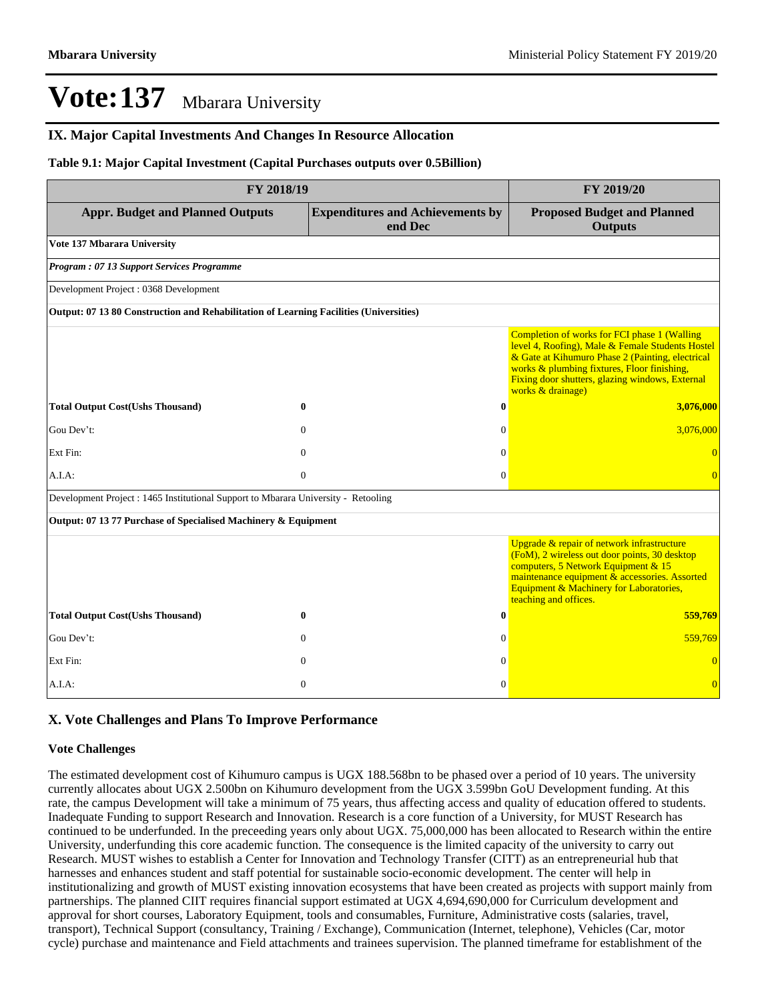#### **IX. Major Capital Investments And Changes In Resource Allocation**

#### **Table 9.1: Major Capital Investment (Capital Purchases outputs over 0.5Billion)**

| FY 2018/19                                                                             | FY 2019/20   |                                                    |                                                                                                                                                                                                                                                                             |
|----------------------------------------------------------------------------------------|--------------|----------------------------------------------------|-----------------------------------------------------------------------------------------------------------------------------------------------------------------------------------------------------------------------------------------------------------------------------|
| <b>Appr. Budget and Planned Outputs</b>                                                |              | <b>Expenditures and Achievements by</b><br>end Dec | <b>Proposed Budget and Planned</b><br><b>Outputs</b>                                                                                                                                                                                                                        |
| Vote 137 Mbarara University                                                            |              |                                                    |                                                                                                                                                                                                                                                                             |
| Program: 07 13 Support Services Programme                                              |              |                                                    |                                                                                                                                                                                                                                                                             |
| Development Project : 0368 Development                                                 |              |                                                    |                                                                                                                                                                                                                                                                             |
| Output: 07 13 80 Construction and Rehabilitation of Learning Facilities (Universities) |              |                                                    |                                                                                                                                                                                                                                                                             |
|                                                                                        |              |                                                    | Completion of works for FCI phase 1 (Walling<br>level 4, Roofing), Male & Female Students Hostel<br>& Gate at Kihumuro Phase 2 (Painting, electrical<br>works & plumbing fixtures, Floor finishing,<br>Fixing door shutters, glazing windows, External<br>works & drainage) |
| <b>Total Output Cost(Ushs Thousand)</b>                                                | $\bf{0}$     | $\bf{0}$                                           | 3,076,000                                                                                                                                                                                                                                                                   |
| Gou Dev't:                                                                             | $\Omega$     | $\Omega$                                           | 3,076,000                                                                                                                                                                                                                                                                   |
| Ext Fin:                                                                               | $\mathbf{0}$ | $\mathbf{0}$                                       |                                                                                                                                                                                                                                                                             |
| A.I.A.                                                                                 | $\Omega$     | $\Omega$                                           | $\Omega$                                                                                                                                                                                                                                                                    |
| Development Project : 1465 Institutional Support to Mbarara University - Retooling     |              |                                                    |                                                                                                                                                                                                                                                                             |
| Output: 07 13 77 Purchase of Specialised Machinery & Equipment                         |              |                                                    |                                                                                                                                                                                                                                                                             |
|                                                                                        |              |                                                    | Upgrade & repair of network infrastructure<br>(FoM), 2 wireless out door points, 30 desktop<br>computers, 5 Network Equipment & 15<br>maintenance equipment & accessories. Assorted<br>Equipment & Machinery for Laboratories,<br>teaching and offices.                     |
| <b>Total Output Cost(Ushs Thousand)</b>                                                | $\mathbf{0}$ | $\bf{0}$                                           | 559,769                                                                                                                                                                                                                                                                     |
| Gou Dev't:                                                                             | $\Omega$     | $\mathbf{0}$                                       | 559,769                                                                                                                                                                                                                                                                     |
| Ext Fin:                                                                               | $\Omega$     | $\Omega$                                           |                                                                                                                                                                                                                                                                             |
| A.I.A:                                                                                 | $\mathbf{0}$ | $\Omega$                                           | $\overline{0}$                                                                                                                                                                                                                                                              |

#### **X. Vote Challenges and Plans To Improve Performance**

#### **Vote Challenges**

The estimated development cost of Kihumuro campus is UGX 188.568bn to be phased over a period of 10 years. The university currently allocates about UGX 2.500bn on Kihumuro development from the UGX 3.599bn GoU Development funding. At this rate, the campus Development will take a minimum of 75 years, thus affecting access and quality of education offered to students. Inadequate Funding to support Research and Innovation. Research is a core function of a University, for MUST Research has continued to be underfunded. In the preceeding years only about UGX. 75,000,000 has been allocated to Research within the entire University, underfunding this core academic function. The consequence is the limited capacity of the university to carry out Research. MUST wishes to establish a Center for Innovation and Technology Transfer (CITT) as an entrepreneurial hub that harnesses and enhances student and staff potential for sustainable socio-economic development. The center will help in institutionalizing and growth of MUST existing innovation ecosystems that have been created as projects with support mainly from partnerships. The planned CIIT requires financial support estimated at UGX 4,694,690,000 for Curriculum development and approval for short courses, Laboratory Equipment, tools and consumables, Furniture, Administrative costs (salaries, travel, transport), Technical Support (consultancy, Training / Exchange), Communication (Internet, telephone), Vehicles (Car, motor cycle) purchase and maintenance and Field attachments and trainees supervision. The planned timeframe for establishment of the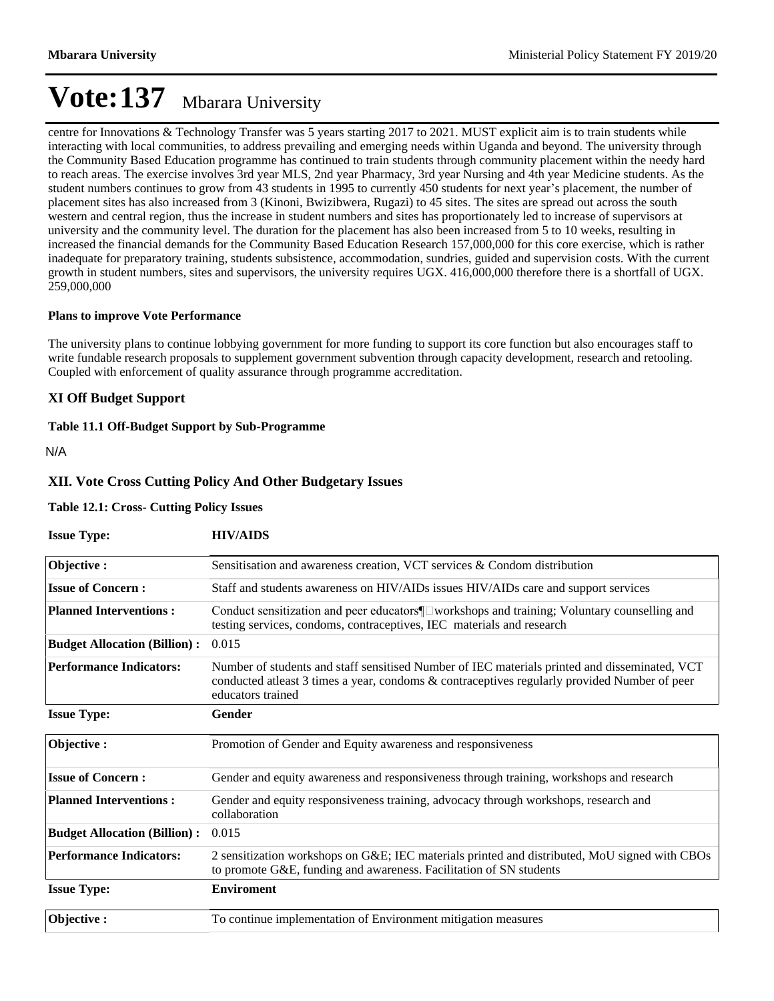centre for Innovations & Technology Transfer was 5 years starting 2017 to 2021. MUST explicit aim is to train students while interacting with local communities, to address prevailing and emerging needs within Uganda and beyond. The university through the Community Based Education programme has continued to train students through community placement within the needy hard to reach areas. The exercise involves 3rd year MLS, 2nd year Pharmacy, 3rd year Nursing and 4th year Medicine students. As the student numbers continues to grow from 43 students in 1995 to currently 450 students for next year's placement, the number of placement sites has also increased from 3 (Kinoni, Bwizibwera, Rugazi) to 45 sites. The sites are spread out across the south western and central region, thus the increase in student numbers and sites has proportionately led to increase of supervisors at university and the community level. The duration for the placement has also been increased from 5 to 10 weeks, resulting in increased the financial demands for the Community Based Education Research 157,000,000 for this core exercise, which is rather inadequate for preparatory training, students subsistence, accommodation, sundries, guided and supervision costs. With the current growth in student numbers, sites and supervisors, the university requires UGX. 416,000,000 therefore there is a shortfall of UGX. 259,000,000

#### **Plans to improve Vote Performance**

The university plans to continue lobbying government for more funding to support its core function but also encourages staff to write fundable research proposals to supplement government subvention through capacity development, research and retooling. Coupled with enforcement of quality assurance through programme accreditation.

#### **XI Off Budget Support**

#### **Table 11.1 Off-Budget Support by Sub-Programme**

N/A

#### **XII. Vote Cross Cutting Policy And Other Budgetary Issues**

#### **Table 12.1: Cross- Cutting Policy Issues**

| <b>Issue Type:</b>                  | <b>HIV/AIDS</b>                                                                                                                                                                                                    |
|-------------------------------------|--------------------------------------------------------------------------------------------------------------------------------------------------------------------------------------------------------------------|
| Objective:                          | Sensitisation and awareness creation, VCT services & Condom distribution                                                                                                                                           |
| <b>Issue of Concern:</b>            | Staff and students awareness on HIV/AIDs issues HIV/AIDs care and support services                                                                                                                                 |
| <b>Planned Interventions:</b>       | Conduct sensitization and peer educators¶ workshops and training; Voluntary counselling and<br>testing services, condoms, contraceptives, IEC materials and research                                               |
| <b>Budget Allocation (Billion):</b> | 0.015                                                                                                                                                                                                              |
| <b>Performance Indicators:</b>      | Number of students and staff sensitised Number of IEC materials printed and disseminated, VCT<br>conducted atleast 3 times a year, condoms & contraceptives regularly provided Number of peer<br>educators trained |
| <b>Issue Type:</b>                  | Gender                                                                                                                                                                                                             |
| Objective:                          | Promotion of Gender and Equity awareness and responsiveness                                                                                                                                                        |
| <b>Issue of Concern:</b>            | Gender and equity awareness and responsiveness through training, workshops and research                                                                                                                            |
| <b>Planned Interventions:</b>       | Gender and equity responsiveness training, advocacy through workshops, research and<br>collaboration                                                                                                               |
| <b>Budget Allocation (Billion):</b> | 0.015                                                                                                                                                                                                              |
| <b>Performance Indicators:</b>      | 2 sensitization workshops on G&E IEC materials printed and distributed, MoU signed with CBOs<br>to promote G&E, funding and awareness. Facilitation of SN students                                                 |
| <b>Issue Type:</b>                  | <b>Enviroment</b>                                                                                                                                                                                                  |
| Objective:                          | To continue implementation of Environment mitigation measures                                                                                                                                                      |